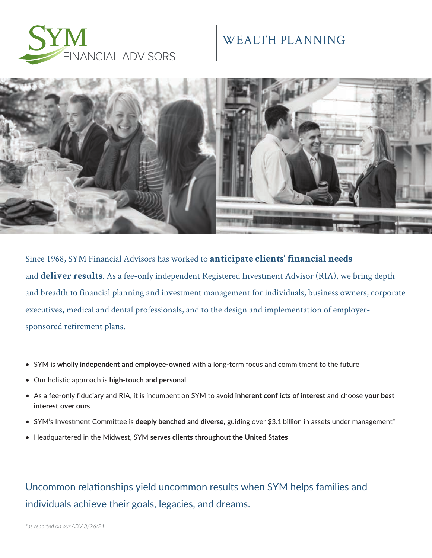

### WEALTH PLANNING



Since 1968, SYM Financial Advisors has worked to **anticipate clients' financial needs** and **deliver results**. As a fee-only independent Registered Investment Advisor (RIA), we bring depth and breadth to financial planning and investment management for individuals, business owners, corporate executives, medical and dental professionals, and to the design and implementation of employersponsored retirement plans.

- SYM is **wholly independent and employee-owned** with a long-term focus and commitment to the future
- Our holistic approach is **high-touch and personal**
- As a fee-only fiduciary and RIA, it is incumbent on SYM to avoid **inherent conf icts of interest** and choose **your best interest over ours**
- SYM's Investment Committee is **deeply benched and diverse**, guiding over \$3.1 billion in assets under management\*
- Headquartered in the Midwest, SYM **serves clients throughout the United States**

Uncommon relationships yield uncommon results when SYM helps families and individuals achieve their goals, legacies, and dreams.

*\*as reported on our ADV 3/26/21*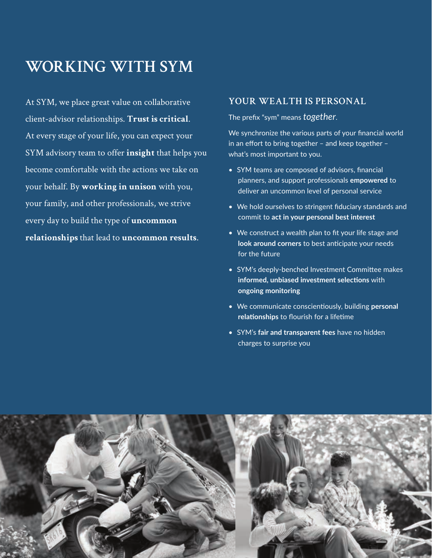## **WORKING WITH SYM**

At SYM, we place great value on collaborative client-advisor relationships. **Trust is critical**. At every stage of your life, you can expect your SYM advisory team to offer **insight** that helps you become comfortable with the actions we take on your behalf. By **working in unison** with you, your family, and other professionals, we strive every day to build the type of **uncommon relationships** that lead to **uncommon results**.

#### **YOUR WEALTH IS PERSONAL**

The prefix "sym" means *together*.

We synchronize the various parts of your financial world in an effort to bring together – and keep together – what's most important to you.

- SYM teams are composed of advisors, financial planners, and support professionals **empowered** to deliver an uncommon level of personal service
- We hold ourselves to stringent fiduciary standards and commit to **act in your personal best interest**
- We construct a wealth plan to fit your life stage and **look around corners** to best anticipate your needs for the future
- SYM's deeply-benched Investment Committee makes **informed, unbiased investment selections** with **ongoing monitoring**
- We communicate conscientiously, building **personal relationships** to flourish for a lifetime
- SYM's **fair and transparent fees** have no hidden charges to surprise you

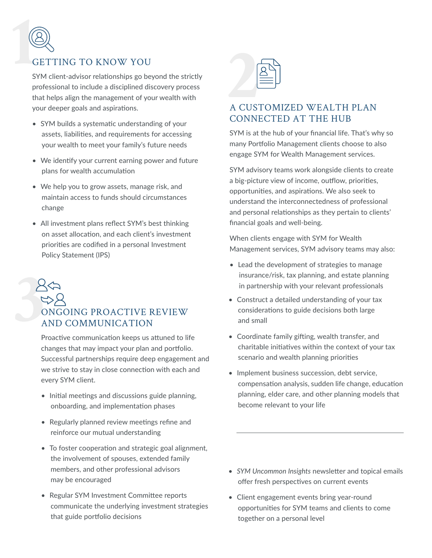#### GETTING TO KNOW YOU

**1** SYM client-advisor relationships go beyond the strictly professional to include a disciplined discovery process that helps align the management of your wealth with your deeper goals and aspirations.

- SYM builds a systematic understanding of your assets, liabilities, and requirements for accessing your wealth to meet your family's future needs
- We identify your current earning power and future plans for wealth accumulation
- We help you to grow assets, manage risk, and maintain access to funds should circumstances change
- All investment plans reflect SYM's best thinking on asset allocation, and each client's investment priorities are codified in a personal Investment Policy Statement (IPS)

# **3**ONGOING PROACTIVE REVIEW<br>
AND COMMUNICATION<br>
Proactive communication keeps us attuned to life<br>
changes that may impact your plan and portfolio AND COMMUNICATION

Proactive communication keeps us attuned to life changes that may impact your plan and portfolio. Successful partnerships require deep engagement and we strive to stay in close connection with each and every SYM client.

- Initial meetings and discussions guide planning, onboarding, and implementation phases
- Regularly planned review meetings refine and reinforce our mutual understanding
- To foster cooperation and strategic goal alignment, the involvement of spouses, extended family members, and other professional advisors may be encouraged
- Regular SYM Investment Committee reports communicate the underlying investment strategies that guide portfolio decisions



# **2** CONNECTED AT THE HUB A CUSTOMIZED WEALTH PLAN

SYM is at the hub of your financial life. That's why so many Portfolio Management clients choose to also engage SYM for Wealth Management services.

SYM advisory teams work alongside clients to create a big-picture view of income, outflow, priorities, opportunities, and aspirations. We also seek to understand the interconnectedness of professional and personal relationships as they pertain to clients' financial goals and well-being.

When clients engage with SYM for Wealth Management services, SYM advisory teams may also:

- Lead the development of strategies to manage insurance/risk, tax planning, and estate planning in partnership with your relevant professionals
- Construct a detailed understanding of your tax considerations to guide decisions both large and small
- Coordinate family gifting, wealth transfer, and charitable initiatives within the context of your tax scenario and wealth planning priorities
- Implement business succession, debt service, compensation analysis, sudden life change, education planning, elder care, and other planning models that become relevant to your life

- *• SYM Uncommon Insights* newsletter and topical emails offer fresh perspectives on current events
- Client engagement events bring year-round opportunities for SYM teams and clients to come together on a personal level